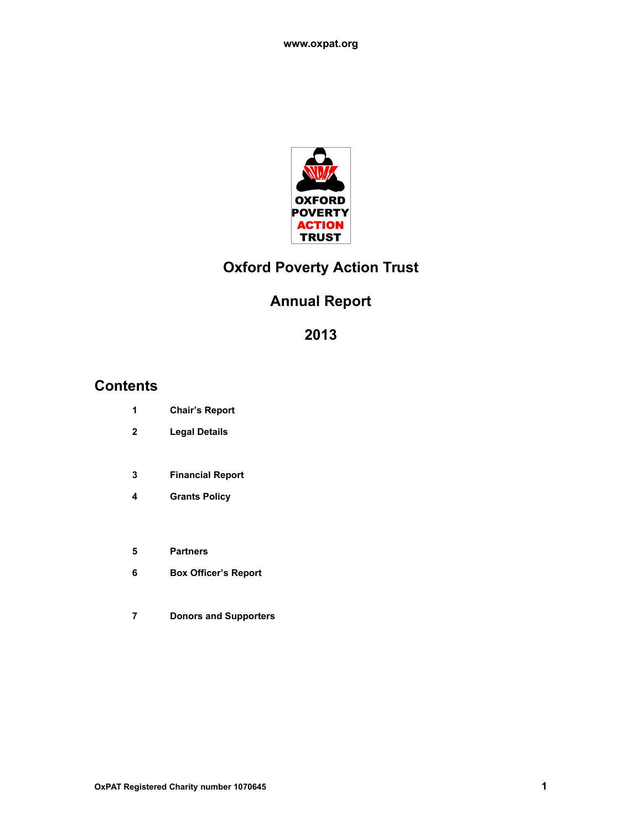

# **Oxford Poverty Action Trust**

# **Annual Report**

# **Contents**

- **Chair's Report**
- **Legal Details**
- **Financial Report**
- **Grants Policy**
- **Partners**
- **Box Officer's Report**
- **Donors and Supporters**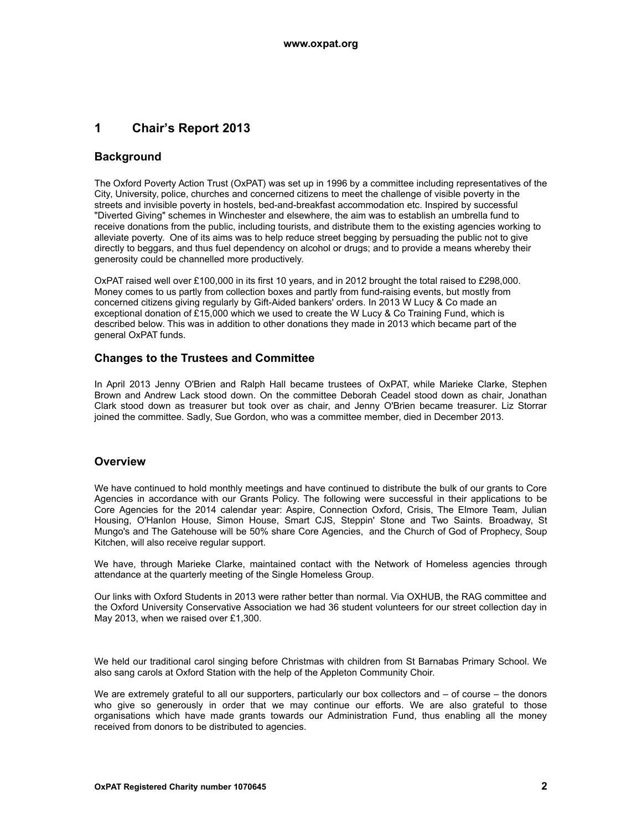## **1 Chair's Report 2013**

### **Background**

The Oxford Poverty Action Trust (OxPAT) was set up in 1996 by a committee including representatives of the City, University, police, churches and concerned citizens to meet the challenge of visible poverty in the streets and invisible poverty in hostels, bed-and-breakfast accommodation etc. Inspired by successful "Diverted Giving" schemes in Winchester and elsewhere, the aim was to establish an umbrella fund to receive donations from the public, including tourists, and distribute them to the existing agencies working to alleviate poverty. One of its aims was to help reduce street begging by persuading the public not to give directly to beggars, and thus fuel dependency on alcohol or drugs; and to provide a means whereby their generosity could be channelled more productively.

OxPAT raised well over £100,000 in its first 10 years, and in 2012 brought the total raised to £298,000. Money comes to us partly from collection boxes and partly from fund-raising events, but mostly from concerned citizens giving regularly by Gift-Aided bankers' orders. In 2013 W Lucy & Co made an exceptional donation of £15,000 which we used to create the W Lucy & Co Training Fund, which is described below. This was in addition to other donations they made in 2013 which became part of the general OxPAT funds.

### **Changes to the Trustees and Committee**

In April 2013 Jenny O'Brien and Ralph Hall became trustees of OxPAT, while Marieke Clarke, Stephen Brown and Andrew Lack stood down. On the committee Deborah Ceadel stood down as chair, Jonathan Clark stood down as treasurer but took over as chair, and Jenny O'Brien became treasurer. Liz Storrar joined the committee. Sadly, Sue Gordon, who was a committee member, died in December 2013.

#### **Overview**

We have continued to hold monthly meetings and have continued to distribute the bulk of our grants to Core Agencies in accordance with our Grants Policy. The following were successful in their applications to be Core Agencies for the 2014 calendar year: Aspire, Connection Oxford, Crisis, The Elmore Team, Julian Housing, O'Hanlon House, Simon House, Smart CJS, Steppin' Stone and Two Saints. Broadway, St Mungo's and The Gatehouse will be 50% share Core Agencies, and the Church of God of Prophecy, Soup Kitchen, will also receive regular support.

We have, through Marieke Clarke, maintained contact with the Network of Homeless agencies through attendance at the quarterly meeting of the Single Homeless Group.

Our links with Oxford Students in 2013 were rather better than normal. Via OXHUB, the RAG committee and the Oxford University Conservative Association we had 36 student volunteers for our street collection day in May 2013, when we raised over £1,300.

We held our traditional carol singing before Christmas with children from St Barnabas Primary School. We also sang carols at Oxford Station with the help of the Appleton Community Choir.

We are extremely grateful to all our supporters, particularly our box collectors and – of course – the donors who give so generously in order that we may continue our efforts. We are also grateful to those organisations which have made grants towards our Administration Fund, thus enabling all the money received from donors to be distributed to agencies.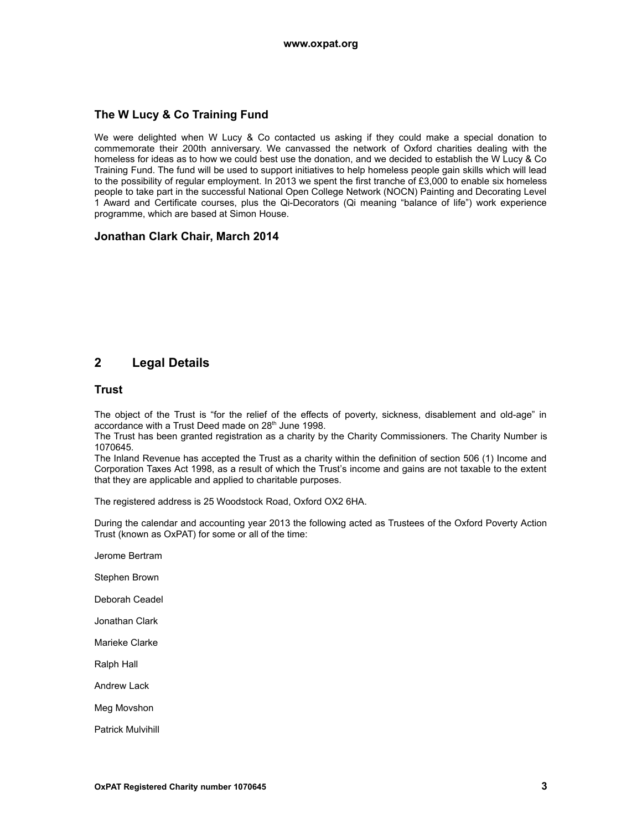### **The W Lucy & Co Training Fund**

We were delighted when W Lucy & Co contacted us asking if they could make a special donation to commemorate their 200th anniversary. We canvassed the network of Oxford charities dealing with the homeless for ideas as to how we could best use the donation, and we decided to establish the W Lucy & Co Training Fund. The fund will be used to support initiatives to help homeless people gain skills which will lead to the possibility of regular employment. In 2013 we spent the first tranche of £3,000 to enable six homeless people to take part in the successful National Open College Network (NOCN) Painting and Decorating Level 1 Award and Certificate courses, plus the Qi-Decorators (Qi meaning "balance of life") work experience programme, which are based at Simon House.

### **Jonathan Clark Chair, March 2014**

## **2 Legal Details**

#### **Trust**

The object of the Trust is "for the relief of the effects of poverty, sickness, disablement and old-age" in accordance with a Trust Deed made on 28<sup>th</sup> June 1998.

The Trust has been granted registration as a charity by the Charity Commissioners. The Charity Number is 1070645.

The Inland Revenue has accepted the Trust as a charity within the definition of section 506 (1) Income and Corporation Taxes Act 1998, as a result of which the Trust's income and gains are not taxable to the extent that they are applicable and applied to charitable purposes.

The registered address is 25 Woodstock Road, Oxford OX2 6HA.

During the calendar and accounting year 2013 the following acted as Trustees of the Oxford Poverty Action Trust (known as OxPAT) for some or all of the time:

- Jerome Bertram
- Stephen Brown
- Deborah Ceadel
- Jonathan Clark
- Marieke Clarke
- Ralph Hall
- Andrew Lack
- Meg Movshon
- Patrick Mulvihill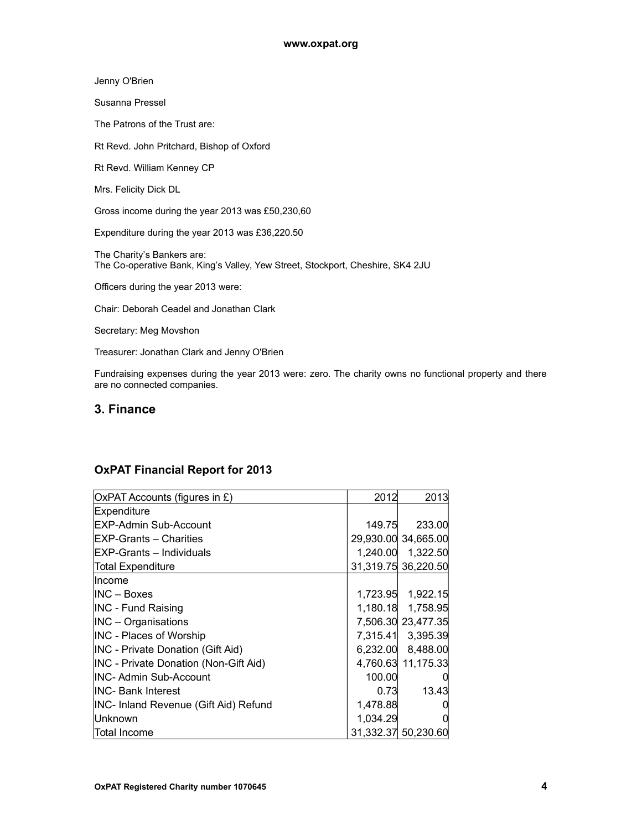Jenny O'Brien

Susanna Pressel

The Patrons of the Trust are:

Rt Revd. John Pritchard, Bishop of Oxford

Rt Revd. William Kenney CP

Mrs. Felicity Dick DL

Gross income during the year 2013 was £50,230,60

Expenditure during the year 2013 was £36,220.50

The Charity's Bankers are: The Co-operative Bank, King's Valley, Yew Street, Stockport, Cheshire, SK4 2JU

Officers during the year 2013 were:

Chair: Deborah Ceadel and Jonathan Clark

Secretary: Meg Movshon

Treasurer: Jonathan Clark and Jenny O'Brien

Fundraising expenses during the year 2013 were: zero. The charity owns no functional property and there are no connected companies.

## **3. Finance**

### **OxPAT Financial Report for 2013**

| OxPAT Accounts (figures in £)            | 2012     | 2013                |
|------------------------------------------|----------|---------------------|
| Expenditure                              |          |                     |
| EXP-Admin Sub-Account                    | 149.75   | 233.00              |
| IEXP-Grants – Charities                  |          | 29,930.00 34,665.00 |
| <b>EXP-Grants - Individuals</b>          |          | 1,240.00 1,322.50   |
| Total Expenditure                        |          | 31,319.75 36,220.50 |
| llncome                                  |          |                     |
| IINC – Boxes                             |          | 1,723.95 1,922.15   |
| <b>INC - Fund Raising</b>                |          | 1,180.18 1,758.95   |
| $INC - Organisations$                    |          | 7,506.30 23,477.35  |
| INC - Places of Worship                  |          | 7,315.41 3,395.39   |
| <b>INC</b> - Private Donation (Gift Aid) |          | 6,232.00 8,488.00   |
| INC - Private Donation (Non-Gift Aid)    |          | 4,760.63 11,175.33  |
| <b>INC- Admin Sub-Account</b>            | 100.00   |                     |
| IINC- Bank Interest                      | 0.73     | 13.43               |
| INC- Inland Revenue (Gift Aid) Refund    | 1,478.88 | O                   |
| Unknown                                  | 1,034.29 | 0                   |
| Total Income                             |          | 31,332.37 50,230.60 |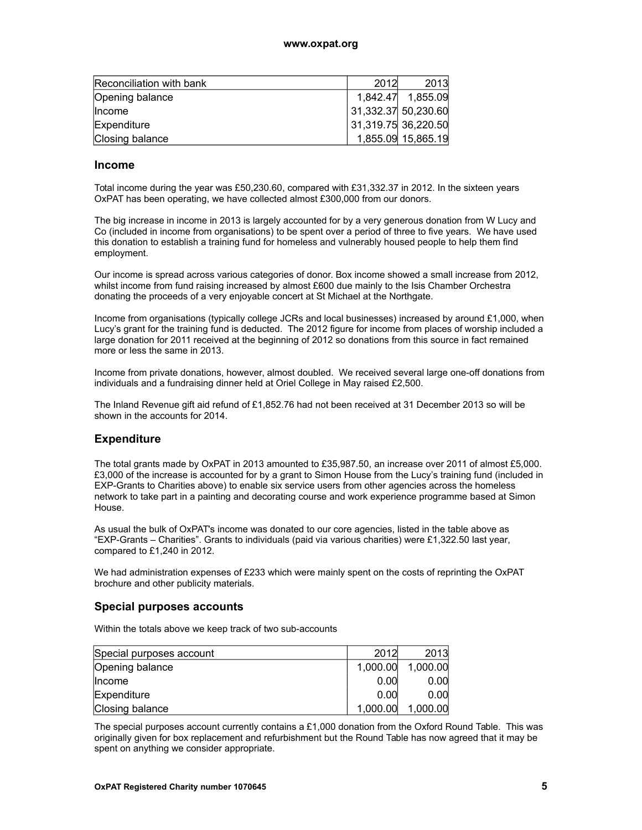| Reconciliation with bank | 2012                | 2013               |
|--------------------------|---------------------|--------------------|
| Opening balance          |                     | 1,842.47 1,855.09  |
| <b>Income</b>            | 31,332.37 50,230.60 |                    |
| Expenditure              | 31,319.75 36,220.50 |                    |
| Closing balance          |                     | 1,855.09 15,865.19 |

#### **Income**

Total income during the year was £50,230.60, compared with £31,332.37 in 2012. In the sixteen years OxPAT has been operating, we have collected almost £300,000 from our donors.

The big increase in income in 2013 is largely accounted for by a very generous donation from W Lucy and Co (included in income from organisations) to be spent over a period of three to five years. We have used this donation to establish a training fund for homeless and vulnerably housed people to help them find employment.

Our income is spread across various categories of donor. Box income showed a small increase from 2012, whilst income from fund raising increased by almost £600 due mainly to the Isis Chamber Orchestra donating the proceeds of a very enjoyable concert at St Michael at the Northgate.

Income from organisations (typically college JCRs and local businesses) increased by around £1,000, when Lucy's grant for the training fund is deducted. The 2012 figure for income from places of worship included a large donation for 2011 received at the beginning of 2012 so donations from this source in fact remained more or less the same in 2013.

Income from private donations, however, almost doubled. We received several large one-off donations from individuals and a fundraising dinner held at Oriel College in May raised £2,500.

The Inland Revenue gift aid refund of £1,852.76 had not been received at 31 December 2013 so will be shown in the accounts for 2014.

#### **Expenditure**

The total grants made by OxPAT in 2013 amounted to £35,987.50, an increase over 2011 of almost £5,000. £3,000 of the increase is accounted for by a grant to Simon House from the Lucy's training fund (included in EXP-Grants to Charities above) to enable six service users from other agencies across the homeless network to take part in a painting and decorating course and work experience programme based at Simon House.

As usual the bulk of OxPAT's income was donated to our core agencies, listed in the table above as "EXP-Grants – Charities". Grants to individuals (paid via various charities) were £1,322.50 last year, compared to £1,240 in 2012.

We had administration expenses of £233 which were mainly spent on the costs of reprinting the OxPAT brochure and other publicity materials.

#### **Special purposes accounts**

Within the totals above we keep track of two sub-accounts

| Special purposes account | 2012     | 2013     |
|--------------------------|----------|----------|
| Opening balance          | 1,000.00 | 1,000.00 |
| <b>Income</b>            | 0.00     | 0.00     |
| Expenditure              | 0.00     | 0.00     |
| Closing balance          | 1,000.00 | 1,000.00 |

The special purposes account currently contains a £1,000 donation from the Oxford Round Table. This was originally given for box replacement and refurbishment but the Round Table has now agreed that it may be spent on anything we consider appropriate.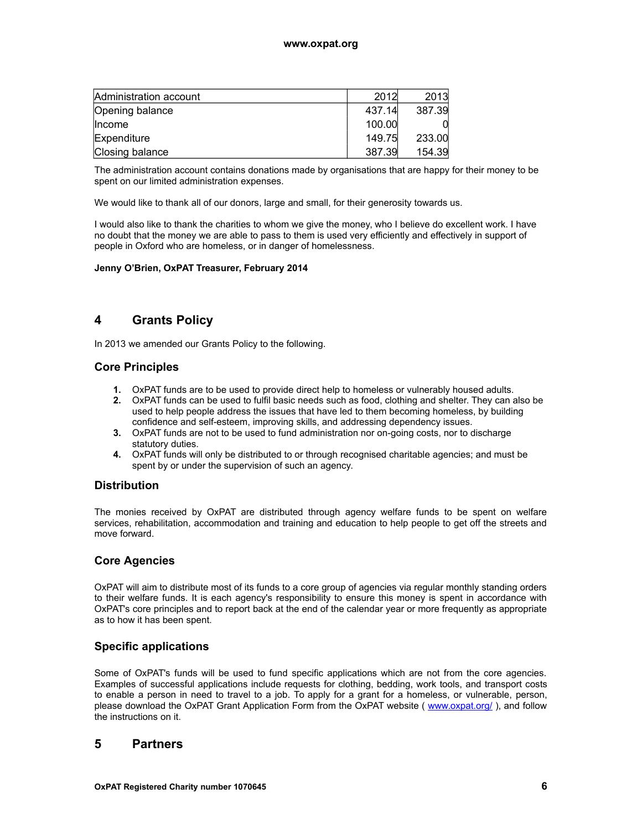| Administration account | 2012   | 2013   |
|------------------------|--------|--------|
| Opening balance        | 437.14 | 387.39 |
| <b>Income</b>          | 100.00 |        |
| Expenditure            | 149.75 | 233.00 |
| Closing balance        | 387.39 | 154.39 |

The administration account contains donations made by organisations that are happy for their money to be spent on our limited administration expenses.

We would like to thank all of our donors, large and small, for their generosity towards us.

I would also like to thank the charities to whom we give the money, who I believe do excellent work. I have no doubt that the money we are able to pass to them is used very efficiently and effectively in support of people in Oxford who are homeless, or in danger of homelessness.

#### **Jenny O'Brien, OxPAT Treasurer, February 2014**

## **4 Grants Policy**

In 2013 we amended our Grants Policy to the following.

### **Core Principles**

- **1.** OxPAT funds are to be used to provide direct help to homeless or vulnerably housed adults.
- **2.** OxPAT funds can be used to fulfil basic needs such as food, clothing and shelter. They can also be used to help people address the issues that have led to them becoming homeless, by building confidence and self-esteem, improving skills, and addressing dependency issues.
- **3.** OxPAT funds are not to be used to fund administration nor on-going costs, nor to discharge statutory duties.
- **4.** OxPAT funds will only be distributed to or through recognised charitable agencies; and must be spent by or under the supervision of such an agency.

#### **Distribution**

The monies received by OxPAT are distributed through agency welfare funds to be spent on welfare services, rehabilitation, accommodation and training and education to help people to get off the streets and move forward.

### **Core Agencies**

OxPAT will aim to distribute most of its funds to a core group of agencies via regular monthly standing orders to their welfare funds. It is each agency's responsibility to ensure this money is spent in accordance with OxPAT's core principles and to report back at the end of the calendar year or more frequently as appropriate as to how it has been spent.

### **Specific applications**

Some of OxPAT's funds will be used to fund specific applications which are not from the core agencies. Examples of successful applications include requests for clothing, bedding, work tools, and transport costs to enable a person in need to travel to a job. To apply for a grant for a homeless, or vulnerable, person, please download the OxPAT Grant Application Form from the OxPAT website ( [www.oxpat.org/](http://www.oxpat.org/) ), and follow the instructions on it.

### **5 Partners**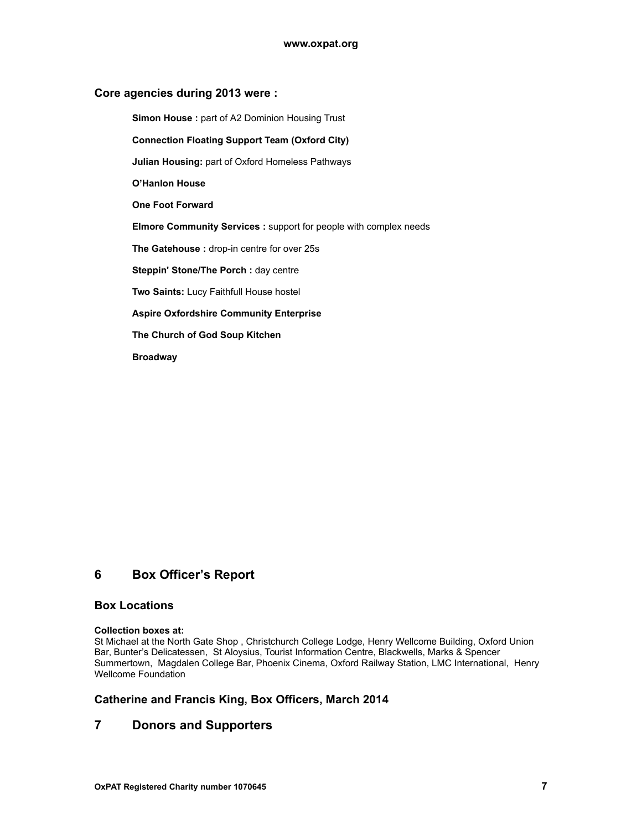#### **Core agencies during 2013 were :**

**Simon House :** part of A2 Dominion Housing Trust

#### **Connection Floating Support Team (Oxford City)**

**Julian Housing:** part of Oxford Homeless Pathways

**O'Hanlon House**

**One Foot Forward**

**Elmore Community Services :** support for people with complex needs

**The Gatehouse :** drop-in centre for over 25s

**Steppin' Stone/The Porch :** day centre

**Two Saints:** Lucy Faithfull House hostel

#### **Aspire Oxfordshire Community Enterprise**

**The Church of God Soup Kitchen**

**Broadway**

## **6 Box Officer's Report**

### **Box Locations**

#### **Collection boxes at:**

St Michael at the North Gate Shop , Christchurch College Lodge, Henry Wellcome Building, Oxford Union Bar, Bunter's Delicatessen, St Aloysius, Tourist Information Centre, Blackwells, Marks & Spencer Summertown, Magdalen College Bar, Phoenix Cinema, Oxford Railway Station, LMC International, Henry Wellcome Foundation

### **Catherine and Francis King, Box Officers, March 2014**

### **7 Donors and Supporters**